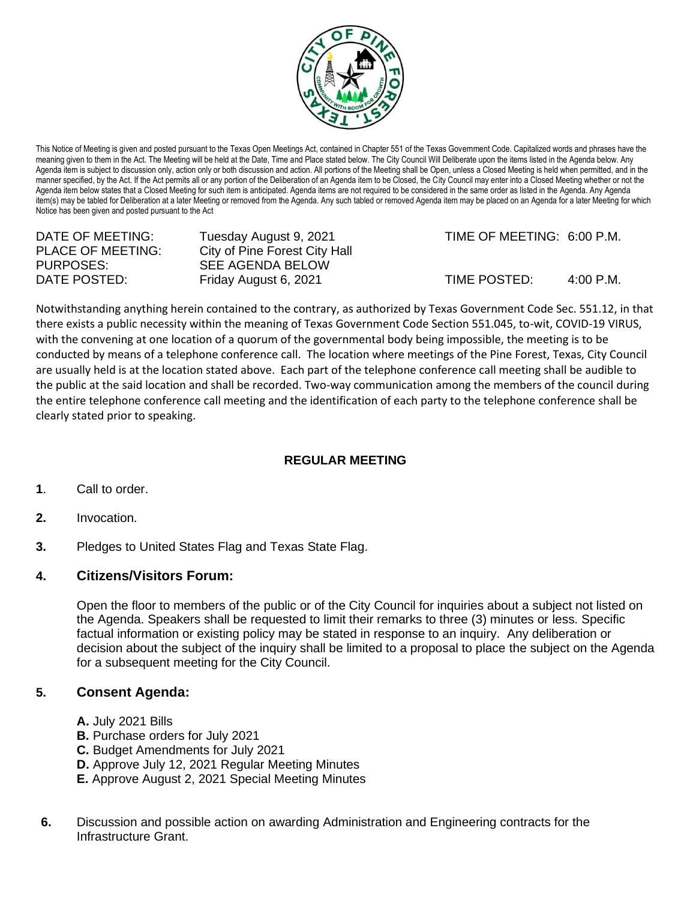

This Notice of Meeting is given and posted pursuant to the Texas Open Meetings Act, contained in Chapter 551 of the Texas Government Code. Capitalized words and phrases have the meaning given to them in the Act. The Meeting will be held at the Date, Time and Place stated below. The City Council Will Deliberate upon the items listed in the Agenda below. Any Agenda item is subject to discussion only, action only or both discussion and action. All portions of the Meeting shall be Open, unless a Closed Meeting is held when permitted, and in the manner specified, by the Act. If the Act permits all or any portion of the Deliberation of an Agenda item to be Closed, the City Council may enter into a Closed Meeting whether or not the Agenda item below states that a Closed Meeting for such item is anticipated. Agenda items are not required to be considered in the same order as listed in the Agenda. Any Agenda item(s) may be tabled for Deliberation at a later Meeting or removed from the Agenda. Any such tabled or removed Agenda item may be placed on an Agenda for a later Meeting for which Notice has been given and posted pursuant to the Act

PLACE OF MEETING: City of Pine Forest City Hall<br>PURPOSES: SEE AGENDA BELOW SEE AGENDA BELOW

DATE OF MEETING: Tuesday August 9, 2021 TIME OF MEETING: 6:00 P.M.

DATE POSTED: Friday August 6, 2021 TIME POSTED: 4:00 P.M.

Notwithstanding anything herein contained to the contrary, as authorized by Texas Government Code Sec. 551.12, in that there exists a public necessity within the meaning of Texas Government Code Section 551.045, to-wit, COVID-19 VIRUS, with the convening at one location of a quorum of the governmental body being impossible, the meeting is to be conducted by means of a telephone conference call. The location where meetings of the Pine Forest, Texas, City Council are usually held is at the location stated above. Each part of the telephone conference call meeting shall be audible to the public at the said location and shall be recorded. Two-way communication among the members of the council during the entire telephone conference call meeting and the identification of each party to the telephone conference shall be clearly stated prior to speaking.

## **REGULAR MEETING**

- **1**. Call to order.
- **2.** Invocation.
- **3.** Pledges to United States Flag and Texas State Flag.

## **4. Citizens/Visitors Forum:**

Open the floor to members of the public or of the City Council for inquiries about a subject not listed on the Agenda. Speakers shall be requested to limit their remarks to three (3) minutes or less. Specific factual information or existing policy may be stated in response to an inquiry. Any deliberation or decision about the subject of the inquiry shall be limited to a proposal to place the subject on the Agenda for a subsequent meeting for the City Council.

## **5. Consent Agenda:**

- **A.** July 2021 Bills
- **B.** Purchase orders for July 2021
- **C.** Budget Amendments for July 2021
- **D.** Approve July 12, 2021 Regular Meeting Minutes
- **E.** Approve August 2, 2021 Special Meeting Minutes
- **6.** Discussion and possible action on awarding Administration and Engineering contracts for the Infrastructure Grant.